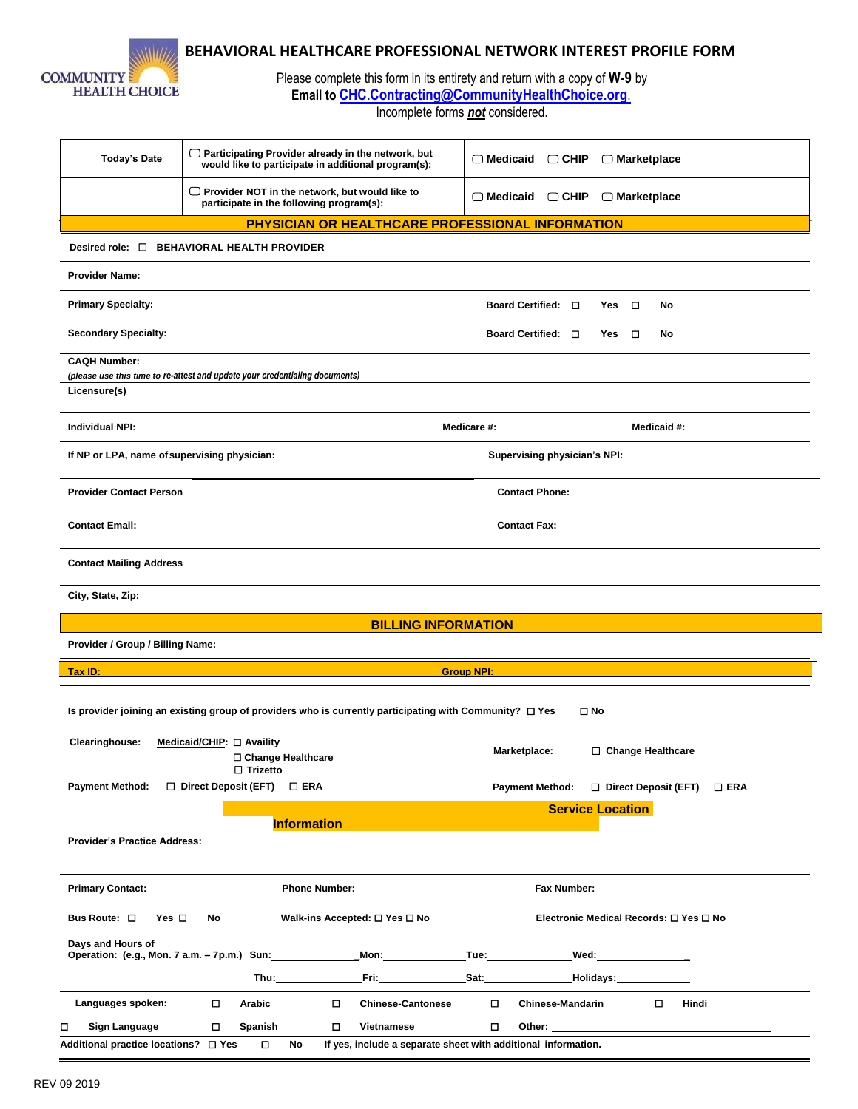

## **BEHAVIORAL HEALTHCARE PROFESSIONAL NETWORK INTEREST PROFILE FORM**

Please complete this form in its entirety and return with a copy of **W-9** by **Email to [CHC.Contracting@CommunityHealthChoice.org](mailto:CHC.Contracting@CommunityHealthChoice.org.)**.

Incomplete forms *not* considered.

| <b>Today's Date</b>                                                                                                            | $\Box$ Participating Provider already in the network, but<br>would like to participate in additional program(s):                                                                                                              | $\Box$ Medicaid<br>$\Box$ CHIP<br>$\Box$ Marketplace                                                                                                                                                                                |  |  |  |  |  |  |  |  |  |
|--------------------------------------------------------------------------------------------------------------------------------|-------------------------------------------------------------------------------------------------------------------------------------------------------------------------------------------------------------------------------|-------------------------------------------------------------------------------------------------------------------------------------------------------------------------------------------------------------------------------------|--|--|--|--|--|--|--|--|--|
|                                                                                                                                | $\Box$ Provider NOT in the network, but would like to<br>participate in the following program(s):                                                                                                                             | $\Box$ CHIP<br>$\Box$ Medicaid<br>$\Box$ Marketplace                                                                                                                                                                                |  |  |  |  |  |  |  |  |  |
| PHYSICIAN OR HEALTHCARE PROFESSIONAL INFORMATION                                                                               |                                                                                                                                                                                                                               |                                                                                                                                                                                                                                     |  |  |  |  |  |  |  |  |  |
| Desired role: $\square$                                                                                                        | <b>BEHAVIORAL HEALTH PROVIDER</b>                                                                                                                                                                                             |                                                                                                                                                                                                                                     |  |  |  |  |  |  |  |  |  |
| <b>Provider Name:</b>                                                                                                          |                                                                                                                                                                                                                               |                                                                                                                                                                                                                                     |  |  |  |  |  |  |  |  |  |
| <b>Primary Specialty:</b>                                                                                                      |                                                                                                                                                                                                                               | Board Certified: $\Box$<br>$\Box$<br>Yes<br>No                                                                                                                                                                                      |  |  |  |  |  |  |  |  |  |
| <b>Secondary Specialty:</b>                                                                                                    |                                                                                                                                                                                                                               | Board Certified: □<br>□<br>Yes<br>No                                                                                                                                                                                                |  |  |  |  |  |  |  |  |  |
| <b>CAQH Number:</b>                                                                                                            |                                                                                                                                                                                                                               |                                                                                                                                                                                                                                     |  |  |  |  |  |  |  |  |  |
|                                                                                                                                | (please use this time to re-attest and update your credentialing documents)                                                                                                                                                   |                                                                                                                                                                                                                                     |  |  |  |  |  |  |  |  |  |
| Licensure(s)                                                                                                                   |                                                                                                                                                                                                                               |                                                                                                                                                                                                                                     |  |  |  |  |  |  |  |  |  |
| <b>Individual NPI:</b>                                                                                                         |                                                                                                                                                                                                                               | Medicare #:<br>Medicaid #:                                                                                                                                                                                                          |  |  |  |  |  |  |  |  |  |
|                                                                                                                                | If NP or LPA, name of supervising physician:<br>Supervising physician's NPI:                                                                                                                                                  |                                                                                                                                                                                                                                     |  |  |  |  |  |  |  |  |  |
| <b>Provider Contact Person</b>                                                                                                 | <b>Contact Phone:</b>                                                                                                                                                                                                         |                                                                                                                                                                                                                                     |  |  |  |  |  |  |  |  |  |
| <b>Contact Email:</b>                                                                                                          |                                                                                                                                                                                                                               | <b>Contact Fax:</b>                                                                                                                                                                                                                 |  |  |  |  |  |  |  |  |  |
| <b>Contact Mailing Address</b>                                                                                                 |                                                                                                                                                                                                                               |                                                                                                                                                                                                                                     |  |  |  |  |  |  |  |  |  |
| City, State, Zip:                                                                                                              |                                                                                                                                                                                                                               |                                                                                                                                                                                                                                     |  |  |  |  |  |  |  |  |  |
|                                                                                                                                | <b>BILLING INFORMATION</b>                                                                                                                                                                                                    |                                                                                                                                                                                                                                     |  |  |  |  |  |  |  |  |  |
| Provider / Group / Billing Name:                                                                                               |                                                                                                                                                                                                                               |                                                                                                                                                                                                                                     |  |  |  |  |  |  |  |  |  |
| Tax ID:                                                                                                                        |                                                                                                                                                                                                                               | <b>Group NPI:</b>                                                                                                                                                                                                                   |  |  |  |  |  |  |  |  |  |
|                                                                                                                                |                                                                                                                                                                                                                               |                                                                                                                                                                                                                                     |  |  |  |  |  |  |  |  |  |
| Is provider joining an existing group of providers who is currently participating with Community? $\Box$ Yes<br>$\square$ No   |                                                                                                                                                                                                                               |                                                                                                                                                                                                                                     |  |  |  |  |  |  |  |  |  |
| Clearinghouse:                                                                                                                 | Medicaid/CHIP: □ Availity                                                                                                                                                                                                     |                                                                                                                                                                                                                                     |  |  |  |  |  |  |  |  |  |
|                                                                                                                                | □ Change Healthcare<br>$\Box$ Trizetto                                                                                                                                                                                        | Marketplace:<br>□ Change Healthcare                                                                                                                                                                                                 |  |  |  |  |  |  |  |  |  |
| <b>Payment Method:</b>                                                                                                         | $\Box$ Direct Deposit (EFT)<br>$\square$ ERA                                                                                                                                                                                  | Payment Method: □ Direct Deposit (EFT)<br>$\square$ ERA                                                                                                                                                                             |  |  |  |  |  |  |  |  |  |
|                                                                                                                                |                                                                                                                                                                                                                               | <b>Service Location</b>                                                                                                                                                                                                             |  |  |  |  |  |  |  |  |  |
|                                                                                                                                | <b>Information</b>                                                                                                                                                                                                            |                                                                                                                                                                                                                                     |  |  |  |  |  |  |  |  |  |
| <b>Provider's Practice Address:</b>                                                                                            |                                                                                                                                                                                                                               |                                                                                                                                                                                                                                     |  |  |  |  |  |  |  |  |  |
| <b>Primary Contact:</b>                                                                                                        | <b>Phone Number:</b>                                                                                                                                                                                                          | Fax Number:                                                                                                                                                                                                                         |  |  |  |  |  |  |  |  |  |
| Bus Route: O<br>Yes $\square$<br>No<br>Walk-ins Accepted: $\square$ Yes $\square$ No<br>Electronic Medical Records: □ Yes □ No |                                                                                                                                                                                                                               |                                                                                                                                                                                                                                     |  |  |  |  |  |  |  |  |  |
| Davs and Hours of                                                                                                              | Operation: (e.g., Mon. 7 a.m. - 7p.m.) Sun: ______________Mon: ______________Tue: _________________                                                                                                                           | Wed: ________________                                                                                                                                                                                                               |  |  |  |  |  |  |  |  |  |
|                                                                                                                                | Thu: when the contract of the contract of the contract of the contract of the contract of the contract of the contract of the contract of the contract of the contract of the contract of the contract of the contract of the | Fri: Sat: Bat: Holidays:                                                                                                                                                                                                            |  |  |  |  |  |  |  |  |  |
| Languages spoken:                                                                                                              | □<br>Arabic<br><b>Chinese-Cantonese</b><br>0                                                                                                                                                                                  | Hindi<br><b>Chinese-Mandarin</b><br>□                                                                                                                                                                                               |  |  |  |  |  |  |  |  |  |
| <b>Sign Language</b><br>□                                                                                                      | □<br>Spanish<br>0<br>Vietnamese                                                                                                                                                                                               | 0<br>Other: when the contract of the contract of the contract of the contract of the contract of the contract of the contract of the contract of the contract of the contract of the contract of the contract of the contract of th |  |  |  |  |  |  |  |  |  |
| Additional practice locations? □ Yes                                                                                           | No<br>0                                                                                                                                                                                                                       | If yes, include a separate sheet with additional information.                                                                                                                                                                       |  |  |  |  |  |  |  |  |  |